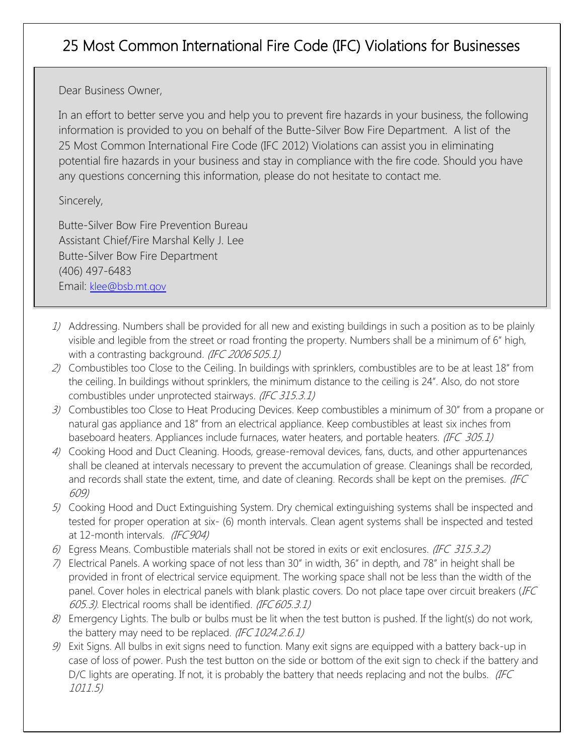## 25 Most Common International Fire Code (IFC) Violations for Businesses

Dear Business Owner,

In an effort to better serve you and help you to prevent fire hazards in your business, the following information is provided to you on behalf of the Butte-Silver Bow Fire Department. A list of the 25 Most Common International Fire Code (IFC 2012) Violations can assist you in eliminating potential fire hazards in your business and stay in compliance with the fire code. Should you have any questions concerning this information, please do not hesitate to contact me.

Sincerely,

Butte-Silver Bow Fire Prevention Bureau Assistant Chief/Fire Marshal Kelly J. Lee Butte-Silver Bow Fire Department (406) 497-6483 Email: klee@bsb.mt.gov

- 1) Addressing. Numbers shall be provided for all new and existing buildings in such a position as to be plainly visible and legible from the street or road fronting the property. Numbers shall be a minimum of 6" high, with a contrasting background. (IFC 2006 505.1)
- 2) Combustibles too Close to the Ceiling. In buildings with sprinklers, combustibles are to be at least 18" from the ceiling. In buildings without sprinklers, the minimum distance to the ceiling is 24". Also, do not store combustibles under unprotected stairways. (IFC 315.3.1)
- 3) Combustibles too Close to Heat Producing Devices. Keep combustibles a minimum of 30" from a propane or natural gas appliance and 18" from an electrical appliance. Keep combustibles at least six inches from baseboard heaters. Appliances include furnaces, water heaters, and portable heaters. (IFC 305.1)
- 4) Cooking Hood and Duct Cleaning. Hoods, grease-removal devices, fans, ducts, and other appurtenances shall be cleaned at intervals necessary to prevent the accumulation of grease. Cleanings shall be recorded, and records shall state the extent, time, and date of cleaning. Records shall be kept on the premises. (IFC 609)
- 5) Cooking Hood and Duct Extinguishing System. Dry chemical extinguishing systems shall be inspected and tested for proper operation at six- (6) month intervals. Clean agent systems shall be inspected and tested at 12-month intervals. (IFC904)
- 6) Egress Means. Combustible materials shall not be stored in exits or exit enclosures. (IFC 315.3.2)
- 7) Electrical Panels. A working space of not less than 30" in width, 36" in depth, and 78" in height shall be provided in front of electrical service equipment. The working space shall not be less than the width of the panel. Cover holes in electrical panels with blank plastic covers. Do not place tape over circuit breakers (IFC 605.3). Electrical rooms shall be identified. (IFC 605.3.1)
- 8) Emergency Lights. The bulb or bulbs must be lit when the test button is pushed. If the light(s) do not work, the battery may need to be replaced. (IFC 1024.2.6.1)
- $9$  Exit Signs. All bulbs in exit signs need to function. Many exit signs are equipped with a battery back-up in case of loss of power. Push the test button on the side or bottom of the exit sign to check if the battery and D/C lights are operating. If not, it is probably the battery that needs replacing and not the bulbs. (IFC 1011.5)